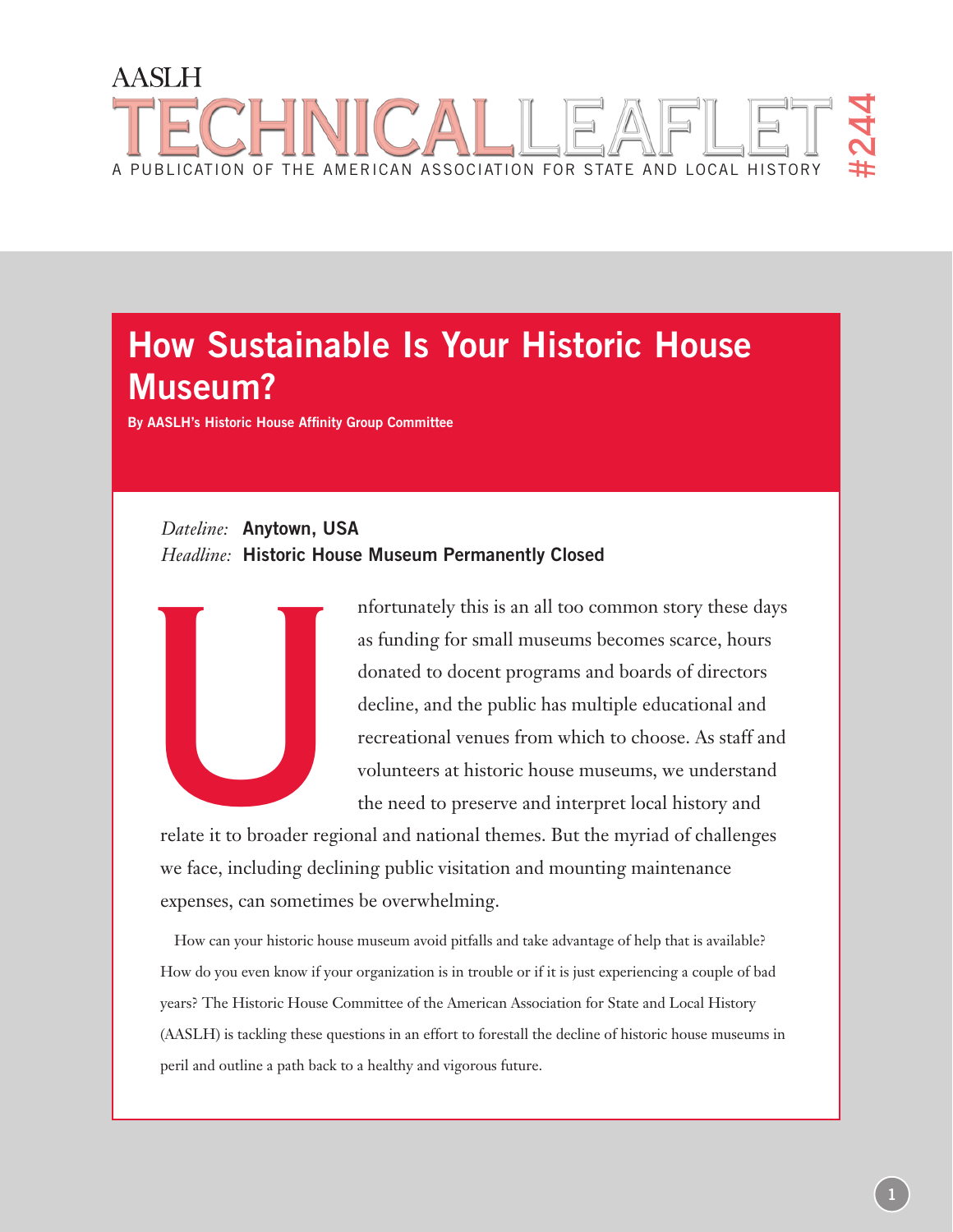# **AASLH** #244 A publication of the american association for state and local history

# **How Sustainable Is Your Historic House Museum?**

**By AASLH's Historic House Affinity Group Committee**

# *Dateline:* **Anytown, USA** *Headline:* **Historic House Museum Permanently Closed**



nfortunately this is an all too common story these days as funding for small museums becomes scarce, hours donated to docent programs and boards of directors decline, and the public has multiple educational and recreational venues from which to choose. As staff and volunteers at historic house museums, we understand the need to preserve and interpret local history and

relate it to broader regional and national themes. But the myriad of challenges we face, including declining public visitation and mounting maintenance expenses, can sometimes be overwhelming.

How can your historic house museum avoid pitfalls and take advantage of help that is available? How do you even know if your organization is in trouble or if it is just experiencing a couple of bad years? The Historic House Committee of the American Association for State and Local History (AASLH) is tackling these questions in an effort to forestall the decline of historic house museums in peril and outline a path back to a healthy and vigorous future.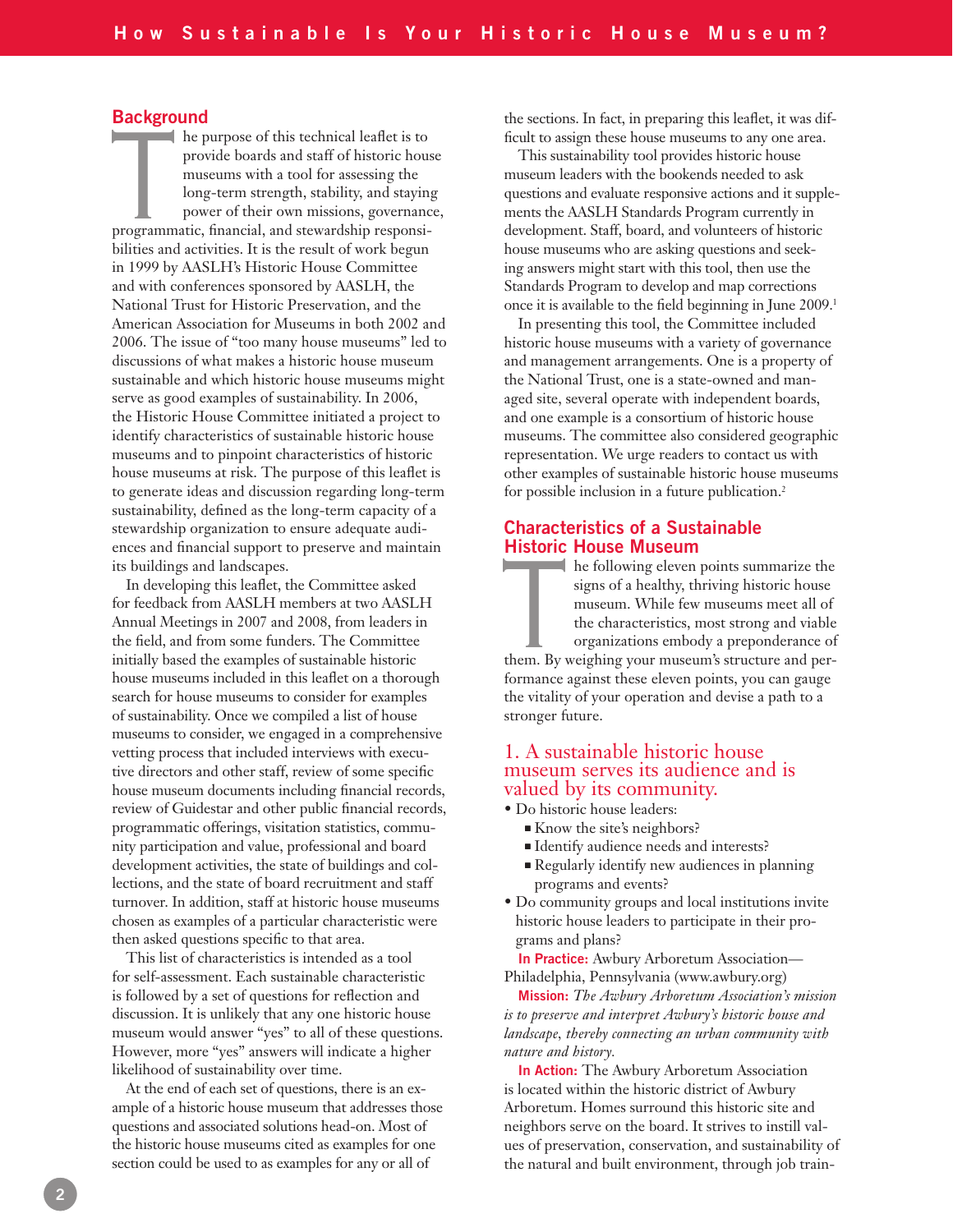#### **Background**

 $\blacksquare$  he purpose of this technical leaflet is to provide boards and staff of historic house museums with a tool for assessing the long-term strength, stability, and staying power of their own missions, governance, are the purpose of this technical leaflet is to<br>provide boards and staff of historic hous<br>museums with a tool for assessing the<br>long-term strength, stability, and staying<br>power of their own missions, governance<br>programmati bilities and activities. It is the result of work begun in 1999 by AASLH's Historic House Committee and with conferences sponsored by AASLH, the National Trust for Historic Preservation, and the American Association for Museums in both 2002 and 2006. The issue of "too many house museums" led to discussions of what makes a historic house museum sustainable and which historic house museums might serve as good examples of sustainability. In 2006, the Historic House Committee initiated a project to identify characteristics of sustainable historic house museums and to pinpoint characteristics of historic house museums at risk. The purpose of this leaflet is to generate ideas and discussion regarding long-term sustainability, defined as the long-term capacity of a stewardship organization to ensure adequate audiences and financial support to preserve and maintain its buildings and landscapes.

In developing this leaflet, the Committee asked for feedback from AASLH members at two AASLH Annual Meetings in 2007 and 2008, from leaders in the field, and from some funders. The Committee initially based the examples of sustainable historic house museums included in this leaflet on a thorough search for house museums to consider for examples of sustainability. Once we compiled a list of house museums to consider, we engaged in a comprehensive vetting process that included interviews with executive directors and other staff, review of some specific house museum documents including financial records, review of Guidestar and other public financial records, programmatic offerings, visitation statistics, community participation and value, professional and board development activities, the state of buildings and collections, and the state of board recruitment and staff turnover. In addition, staff at historic house museums chosen as examples of a particular characteristic were then asked questions specific to that area.

This list of characteristics is intended as a tool for self-assessment. Each sustainable characteristic is followed by a set of questions for reflection and discussion. It is unlikely that any one historic house museum would answer "yes" to all of these questions. However, more "yes" answers will indicate a higher likelihood of sustainability over time.

At the end of each set of questions, there is an example of a historic house museum that addresses those questions and associated solutions head-on. Most of the historic house museums cited as examples for one section could be used to as examples for any or all of

the sections. In fact, in preparing this leaflet, it was difficult to assign these house museums to any one area.

This sustainability tool provides historic house museum leaders with the bookends needed to ask questions and evaluate responsive actions and it supplements the AASLH Standards Program currently in development. Staff, board, and volunteers of historic house museums who are asking questions and seeking answers might start with this tool, then use the Standards Program to develop and map corrections once it is available to the field beginning in June 2009.<sup>1</sup>

In presenting this tool, the Committee included historic house museums with a variety of governance and management arrangements. One is a property of the National Trust, one is a state-owned and managed site, several operate with independent boards, and one example is a consortium of historic house museums. The committee also considered geographic representation. We urge readers to contact us with other examples of sustainable historic house museums for possible inclusion in a future publication.<sup>2</sup>

## **Characteristics of a Sustainable Historic House Museum**

**he following eleven points summarize the** signs of a healthy, thriving historic house museum. While few museums meet all of the characteristics, most strong and viable organizations embody a preponderance of the following eleven points summarize the<br>signs of a healthy, thriving historic house<br>museum. While few museums meet all of<br>the characteristics, most strong and viable<br>organizations embody a preponderance of<br>them. By weigh formance against these eleven points, you can gauge the vitality of your operation and devise a path to a stronger future.

# 1. A sustainable historic house museum serves its audience and is valued by its community.

- Do historic house leaders:
	- Know the site's neighbors?
	- Identify audience needs and interests?
	- Regularly identify new audiences in planning programs and events?
- Do community groups and local institutions invite historic house leaders to participate in their programs and plans?

**In Practice:** Awbury Arboretum Association— Philadelphia, Pennsylvania (www.awbury.org)

**Mission:** *The Awbury Arboretum Association's mission is to preserve and interpret Awbury's historic house and landscape, thereby connecting an urban community with nature and history.*

**In Action:** The Awbury Arboretum Association is located within the historic district of Awbury Arboretum. Homes surround this historic site and neighbors serve on the board. It strives to instill values of preservation, conservation, and sustainability of the natural and built environment, through job train-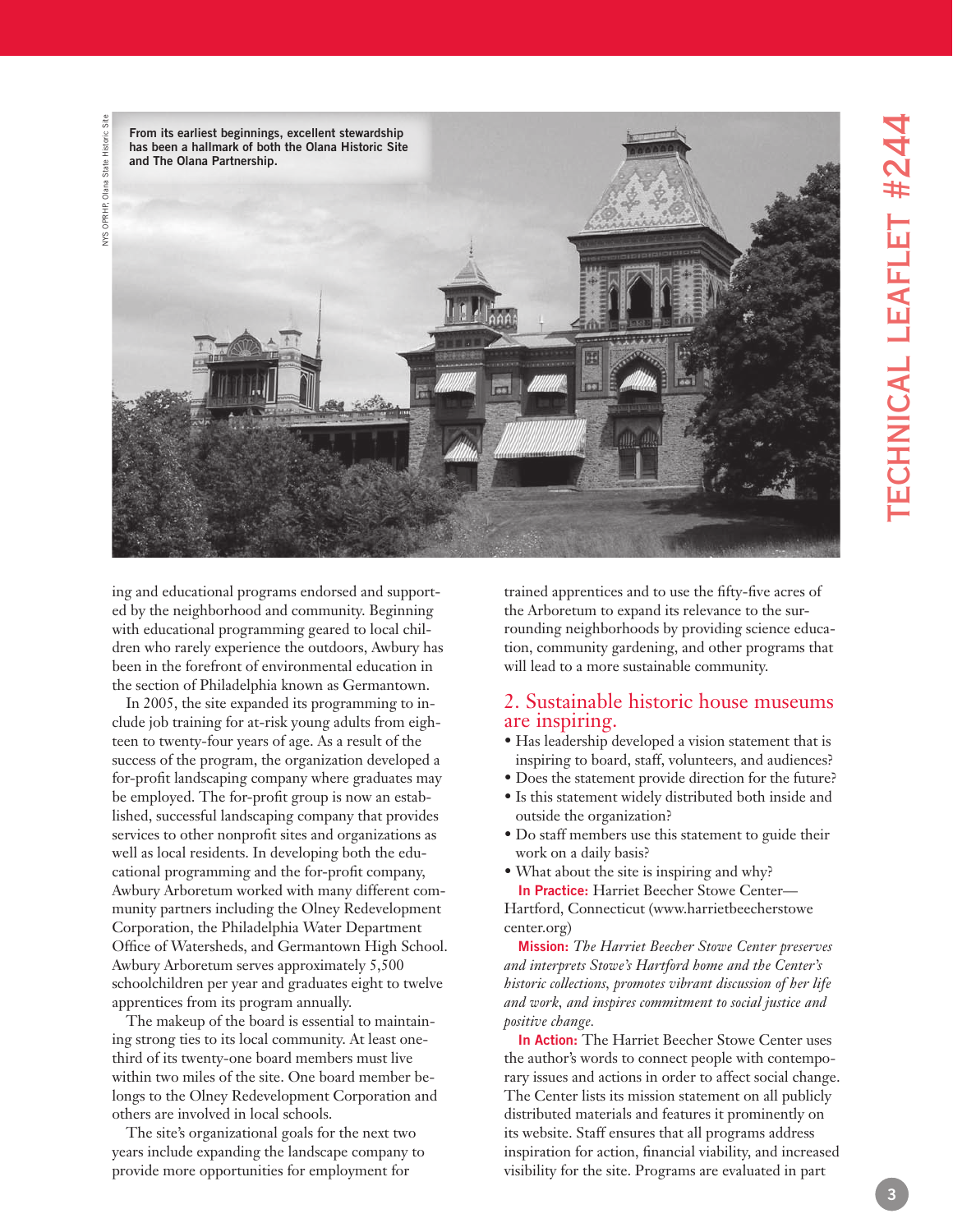



ing and educational programs endorsed and support ed by the neighborhood and community. Beginning with educational programming geared to local chil dren who rarely experience the outdoors, Awbury has been in the forefront of environmental education in the section of Philadelphia known as Germantown.

In 2005, the site expanded its programming to in clude job training for at-risk young adults from eigh teen to twenty-four years of age. As a result of the success of the program, the organization developed a for-profit landscaping company where graduates may be employed. The for-profit group is now an estab lished, successful landscaping company that provides services to other nonprofit sites and organizations as well as local residents. In developing both the edu cational programming and the for-profit company, Awbury Arboretum worked with many different com munity partners including the Olney Redevelopment Corporation, the Philadelphia Water Department Office of Watersheds, and Germantown High School. Awbury Arboretum serves approximately 5,500 schoolchildren per year and graduates eight to twelve apprentices from its program annually.

The makeup of the board is essential to maintain ing strong ties to its local community. At least onethird of its twenty-one board members must live within two miles of the site. One board member be longs to the Olney Redevelopment Corporation and others are involved in local schools.

The site's organizational goals for the next two years include expanding the landscape company to provide more opportunities for employment for

trained apprentices and to use the fifty-five acres of the Arboretum to expand its relevance to the sur rounding neighborhoods by providing science educa tion, community gardening, and other programs that will lead to a more sustainable community.

## 2. Sustainable historic house museums are inspiring.

- Has leadership developed a vision statement that is inspiring to board, staff, volunteers, and audiences?
- Does the statement provide direction for the future?
- Is this statement widely distributed both inside and outside the organization?
- Do staff members use this statement to guide their work on a daily basis?
- What about the site is inspiring and why? **In Practice:** Harriet Beecher Stowe Center—

Hartford, Connecticut (www.harrietbeecherstowe center.org)

**Mission:** *The Harriet Beecher Stowe Center preserves and interprets Stowe's Hartford home and the Center's historic collections, promotes vibrant discussion of her life and work, and inspires commitment to social justice and positive change.*

**In Action:** The Harriet Beecher Stowe Center uses the author's words to connect people with contempo rary issues and actions in order to affect social change. The Center lists its mission statement on all publicly distributed materials and features it prominently on its website. Staff ensures that all programs address inspiration for action, financial viability, and increased visibility for the site. Programs are evaluated in part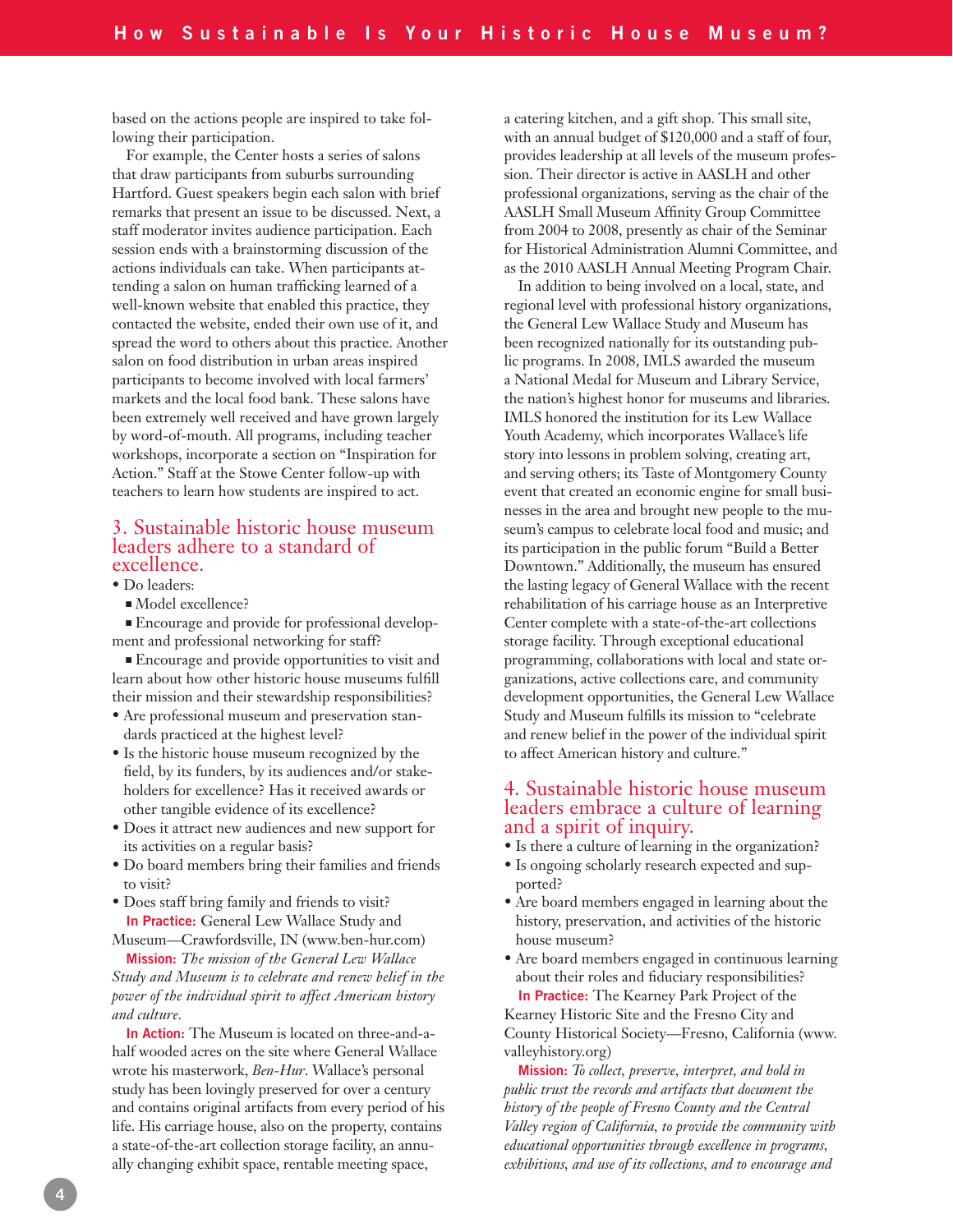based on the actions people are inspired to take following their participation.

For example, the Center hosts a series of salons that draw participants from suburbs surrounding Hartford. Guest speakers begin each salon with brief remarks that present an issue to be discussed. Next, a staff moderator invites audience participation. Each session ends with a brainstorming discussion of the actions individuals can take. When participants attending a salon on human trafficking learned of a well-known website that enabled this practice, they contacted the website, ended their own use of it, and spread the word to others about this practice. Another salon on food distribution in urban areas inspired participants to become involved with local farmers' markets and the local food bank. These salons have been extremely well received and have grown largely by word-of-mouth. All programs, including teacher workshops, incorporate a section on "Inspiration for Action." Staff at the Stowe Center follow-up with teachers to learn how students are inspired to act.

### 3. Sustainable historic house museum leaders adhere to a standard of excellence.

• Do leaders:

Model excellence?

 Encourage and provide for professional development and professional networking for staff?

 Encourage and provide opportunities to visit and learn about how other historic house museums fulfill their mission and their stewardship responsibilities?

- Are professional museum and preservation standards practiced at the highest level?
- Is the historic house museum recognized by the field, by its funders, by its audiences and/or stakeholders for excellence? Has it received awards or other tangible evidence of its excellence?
- Does it attract new audiences and new support for its activities on a regular basis?
- Do board members bring their families and friends to visit?
- Does staff bring family and friends to visit? **In Practice:** General Lew Wallace Study and

Museum—Crawfordsville, IN (www.ben-hur.com) **Mission:** *The mission of the General Lew Wallace* 

*Study and Museum is to celebrate and renew belief in the power of the individual spirit to affect American history and culture.* 

**In Action:** The Museum is located on three-and-ahalf wooded acres on the site where General Wallace wrote his masterwork, *Ben-Hur*. Wallace's personal study has been lovingly preserved for over a century and contains original artifacts from every period of his life. His carriage house, also on the property, contains a state-of-the-art collection storage facility, an annually changing exhibit space, rentable meeting space,

a catering kitchen, and a gift shop. This small site, with an annual budget of \$120,000 and a staff of four, provides leadership at all levels of the museum profession. Their director is active in AASLH and other professional organizations, serving as the chair of the AASLH Small Museum Affinity Group Committee from 2004 to 2008, presently as chair of the Seminar for Historical Administration Alumni Committee, and as the 2010 AASLH Annual Meeting Program Chair.

In addition to being involved on a local, state, and regional level with professional history organizations, the General Lew Wallace Study and Museum has been recognized nationally for its outstanding public programs. In 2008, IMLS awarded the museum a National Medal for Museum and Library Service, the nation's highest honor for museums and libraries. IMLS honored the institution for its Lew Wallace Youth Academy, which incorporates Wallace's life story into lessons in problem solving, creating art, and serving others; its Taste of Montgomery County event that created an economic engine for small businesses in the area and brought new people to the museum's campus to celebrate local food and music; and its participation in the public forum "Build a Better Downtown." Additionally, the museum has ensured the lasting legacy of General Wallace with the recent rehabilitation of his carriage house as an Interpretive Center complete with a state-of-the-art collections storage facility. Through exceptional educational programming, collaborations with local and state organizations, active collections care, and community development opportunities, the General Lew Wallace Study and Museum fulfills its mission to "celebrate and renew belief in the power of the individual spirit to affect American history and culture."

# 4. Sustainable historic house museum leaders embrace a culture of learning and a spirit of inquiry.

- Is there a culture of learning in the organization?
- Is ongoing scholarly research expected and supported?
- Are board members engaged in learning about the history, preservation, and activities of the historic house museum?
- Are board members engaged in continuous learning about their roles and fiduciary responsibilities? **In Practice:** The Kearney Park Project of the

Kearney Historic Site and the Fresno City and County Historical Society—Fresno, California (www. valleyhistory.org)

**Mission:** *To collect, preserve, interpret, and hold in public trust the records and artifacts that document the history of the people of Fresno County and the Central Valley region of California, to provide the community with educational opportunities through excellence in programs, exhibitions, and use of its collections, and to encourage and*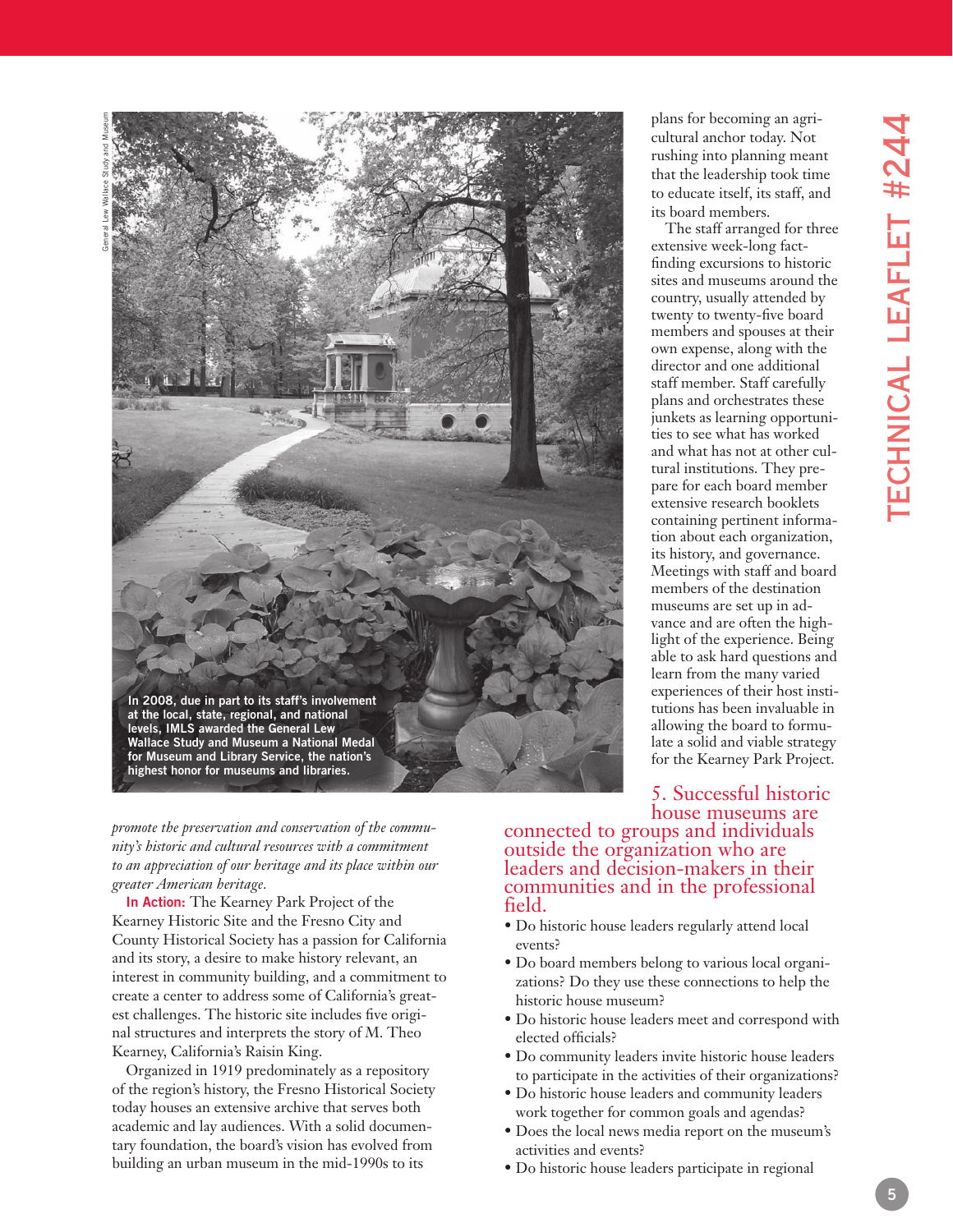

*promote the preservation and conservation of the commu nity's historic and cultural resources with a commitment to an appreciation of our heritage and its place within our greater American heritage.*

**In Action:** The Kearney Park Project of the Kearney Historic Site and the Fresno City and County Historical Society has a passion for California and its story, a desire to make history relevant, an interest in community building, and a commitment to create a center to address some of California's great est challenges. The historic site includes five origi nal structures and interprets the story of M. Theo Kearney, California's Raisin King.

Organized in 1919 predominately as a repository of the region's history, the Fresno Historical Society today houses an extensive archive that serves both academic and lay audiences. With a solid documen tary foundation, the board's vision has evolved from building an urban museum in the mid-1990s to its

plans for becoming an agri cultural anchor today. Not rushing into planning meant that the leadership took time to educate itself, its staff, and its board members.

The staff arranged for three extensive week-long factfinding excursions to historic sites and museums around the country, usually attended by twenty to twenty-five board members and spouses at their own expense, along with the director and one additional staff member. Staff carefully plans and orchestrates these junkets as learning opportuni ties to see what has worked and what has not at other cul tural institutions. They pre pare for each board member extensive research booklets containing pertinent informa tion about each organization, its history, and governance. Meetings with staff and board members of the destination museums are set up in ad vance and are often the high light of the experience. Being able to ask hard questions and learn from the many varied experiences of their host insti tutions has been invaluable in allowing the board to formu late a solid and viable strategy for the Kearney Park Project.

# 5. Successful historic house museums are

connected to groups and individuals outside the organization who are leaders and decision-makers in their communities and in the professional field.

- Do historic house leaders regularly attend local events?
- Do board members belong to various local organi zations? Do they use these connections to help the historic house museum?
- Do historic house leaders meet and correspond with elected officials?
- Do community leaders invite historic house leaders to participate in the activities of their organizations?
- Do historic house leaders and community leaders work together for common goals and agendas?
- Does the local news media report on the museum's activities and events?
- Do historic house leaders participate in regional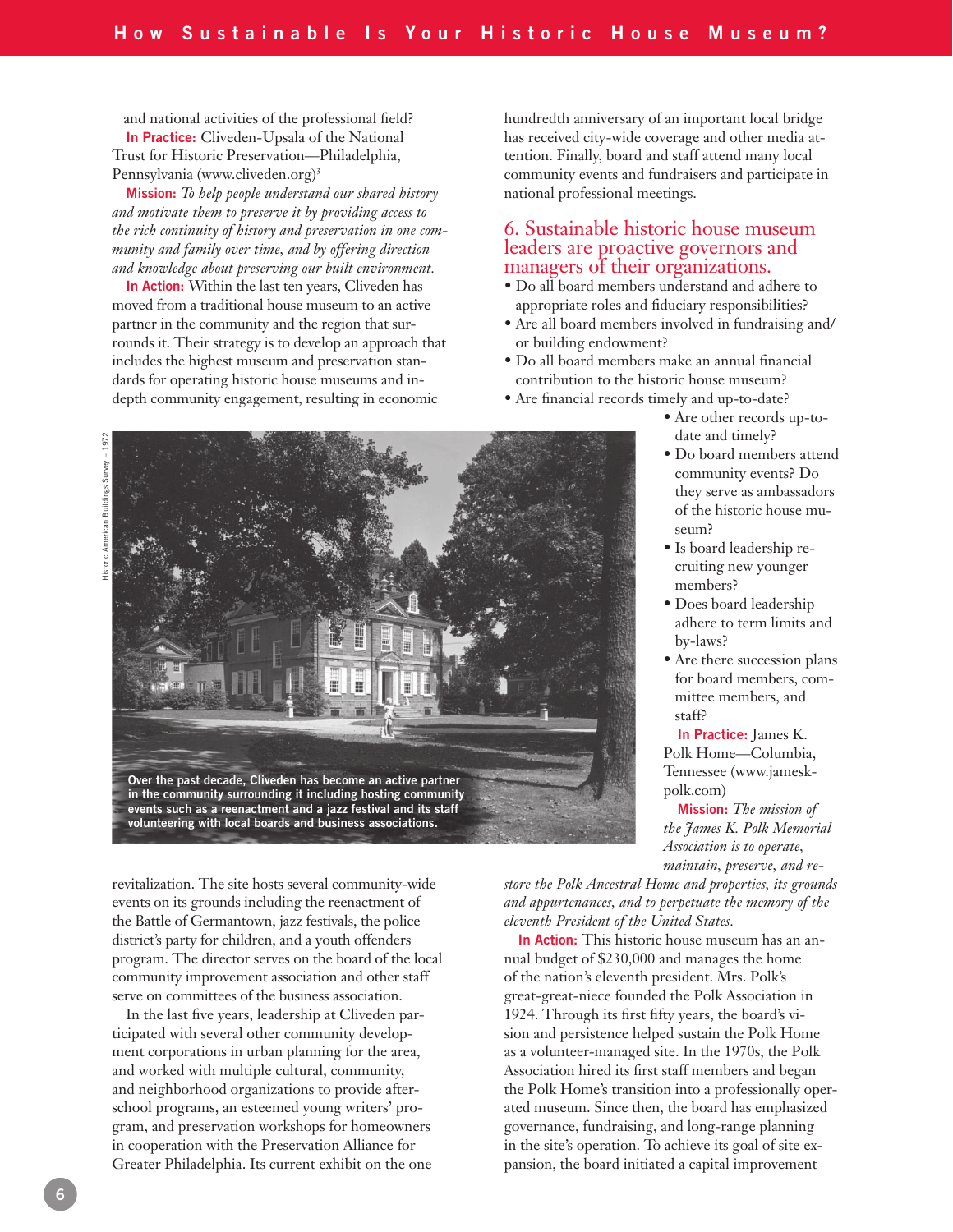and national activities of the professional field? **In Practice:** Cliveden-Upsala of the National Trust for Historic Preservation—Philadelphia, Pennsylvania (www.cliveden.org) 3

**Mission:** *To help people understand our shared history and motivate them to preserve it by providing access to the rich continuity of history and preservation in one community and family over time, and by offering direction and knowledge about preserving our built environment.*

**In Action:** Within the last ten years, Cliveden has moved from a traditional house museum to an active partner in the community and the region that surrounds it. Their strategy is to develop an approach that includes the highest museum and preservation standards for operating historic house museums and indepth community engagement, resulting in economic

hundredth anniversary of an important local bridge has received city-wide coverage and other media attention. Finally, board and staff attend many local community events and fundraisers and participate in national professional meetings.

# 6. Sustainable historic house museum leaders are proactive governors and managers of their organizations.

- Do all board members understand and adhere to appropriate roles and fiduciary responsibilities?
- Are all board members involved in fundraising and/ or building endowment?
- Do all board members make an annual financial contribution to the historic house museum?
- Are financial records timely and up-to-date?
	- Are other records up-todate and timely?
	- Do board members attend community events? Do they serve as ambassadors of the historic house museum?
	- Is board leadership recruiting new younger members?
	- Does board leadership adhere to term limits and by-laws?
	- Are there succession plans for board members, committee members, and staff?

**In Practice:** James K. Polk Home—Columbia, Tennessee (www.jameskpolk.com)

**Mission:** *The mission of the James K. Polk Memorial Association is to operate, maintain, preserve, and re-*

*store the Polk Ancestral Home and properties, its grounds and appurtenances, and to perpetuate the memory of the eleventh President of the United States.*

**In Action:** This historic house museum has an annual budget of \$230,000 and manages the home of the nation's eleventh president. Mrs. Polk's great-great-niece founded the Polk Association in 1924. Through its first fifty years, the board's vision and persistence helped sustain the Polk Home as a volunteer-managed site. In the 1970s, the Polk Association hired its first staff members and began the Polk Home's transition into a professionally operated museum. Since then, the board has emphasized governance, fundraising, and long-range planning in the site's operation. To achieve its goal of site expansion, the board initiated a capital improvement

Historic American Buildings Survey – 1972



revitalization. The site hosts several community-wide events on its grounds including the reenactment of the Battle of Germantown, jazz festivals, the police district's party for children, and a youth offenders program. The director serves on the board of the local community improvement association and other staff serve on committees of the business association.

In the last five years, leadership at Cliveden participated with several other community development corporations in urban planning for the area, and worked with multiple cultural, community, and neighborhood organizations to provide afterschool programs, an esteemed young writers' program, and preservation workshops for homeowners in cooperation with the Preservation Alliance for Greater Philadelphia. Its current exhibit on the one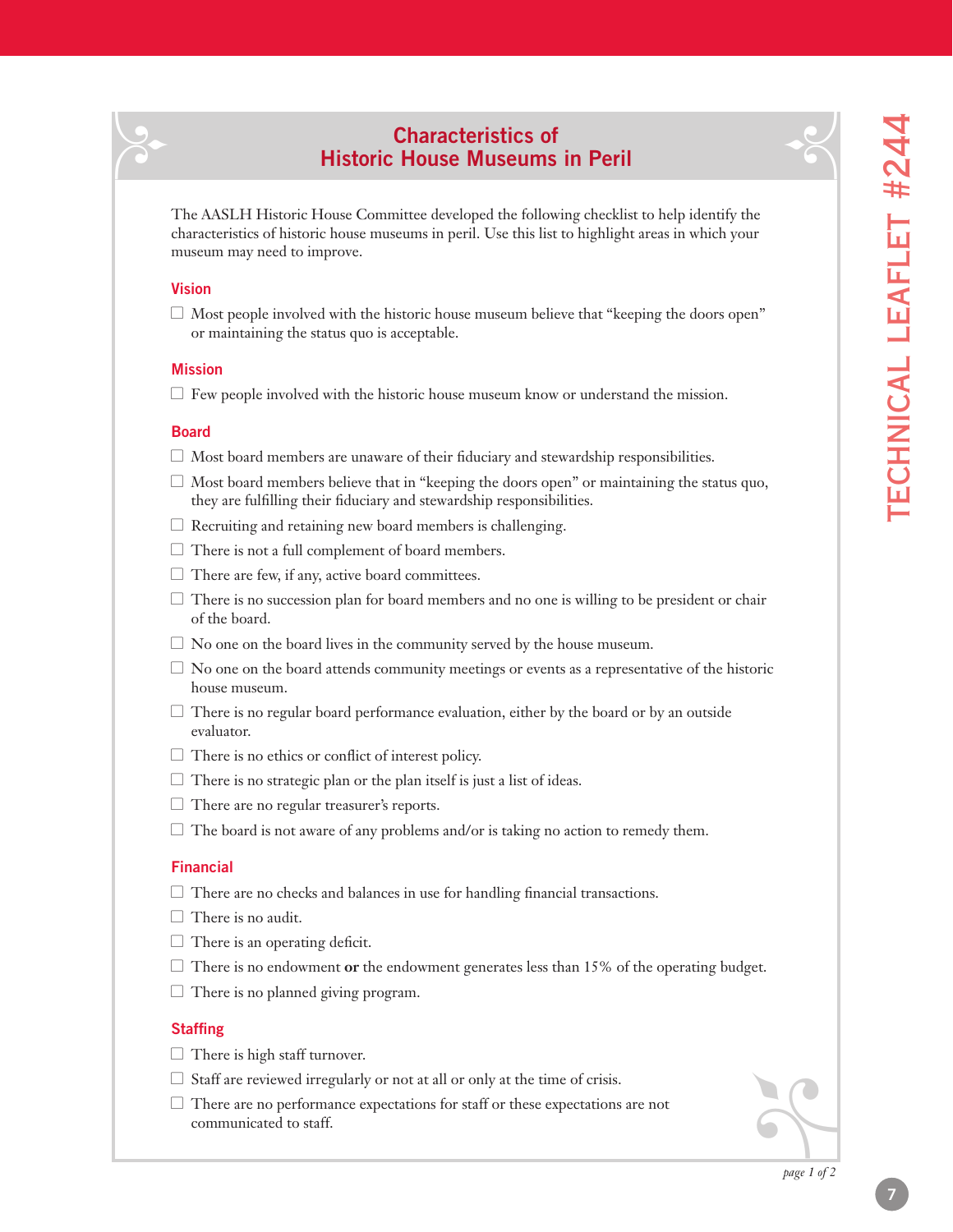$-\frac{2}{3}$ 

# **Characteristics of Historic House Museums in Peril**

The AASLH Historic House Committee developed the following checklist to help identify the characteristics of historic house museums in peril. Use this list to highlight areas in which your museum may need to improve.

#### **Vision**

 $\sqrt{2}$ 

 $\Box$  Most people involved with the historic house museum believe that "keeping the doors open" or maintaining the status quo is acceptable.

#### **Mission**

 $\Box$  Few people involved with the historic house museum know or understand the mission.

#### **Board**

- $\Box$  Most board members are unaware of their fiduciary and stewardship responsibilities.
- $\Box$  Most board members believe that in "keeping the doors open" or maintaining the status quo, they are fulfilling their fiduciary and stewardship responsibilities.
- $\Box$  Recruiting and retaining new board members is challenging.
- $\Box$  There is not a full complement of board members.
- $\Box$  There are few, if any, active board committees.
- $\Box$  There is no succession plan for board members and no one is willing to be president or chair of the board.
- $\Box$  No one on the board lives in the community served by the house museum.
- $\Box$  No one on the board attends community meetings or events as a representative of the historic house museum.
- $\Box$  There is no regular board performance evaluation, either by the board or by an outside evaluator.
- $\Box$  There is no ethics or conflict of interest policy.
- $\Box$  There is no strategic plan or the plan itself is just a list of ideas.
- $\Box$  There are no regular treasurer's reports.
- $\Box$  The board is not aware of any problems and/or is taking no action to remedy them.

#### **Financial**

- $\Box$  There are no checks and balances in use for handling financial transactions.
- $\Box$  There is no audit.
- $\Box$  There is an operating deficit.
- l There is no endowment **or** the endowment generates less than 15% of the operating budget.
- $\Box$  There is no planned giving program.

#### **Staffing**

- $\Box$  There is high staff turnover.
- $\Box$  Staff are reviewed irregularly or not at all or only at the time of crisis.
- $\Box$  There are no performance expectations for staff or these expectations are not communicated to staff.

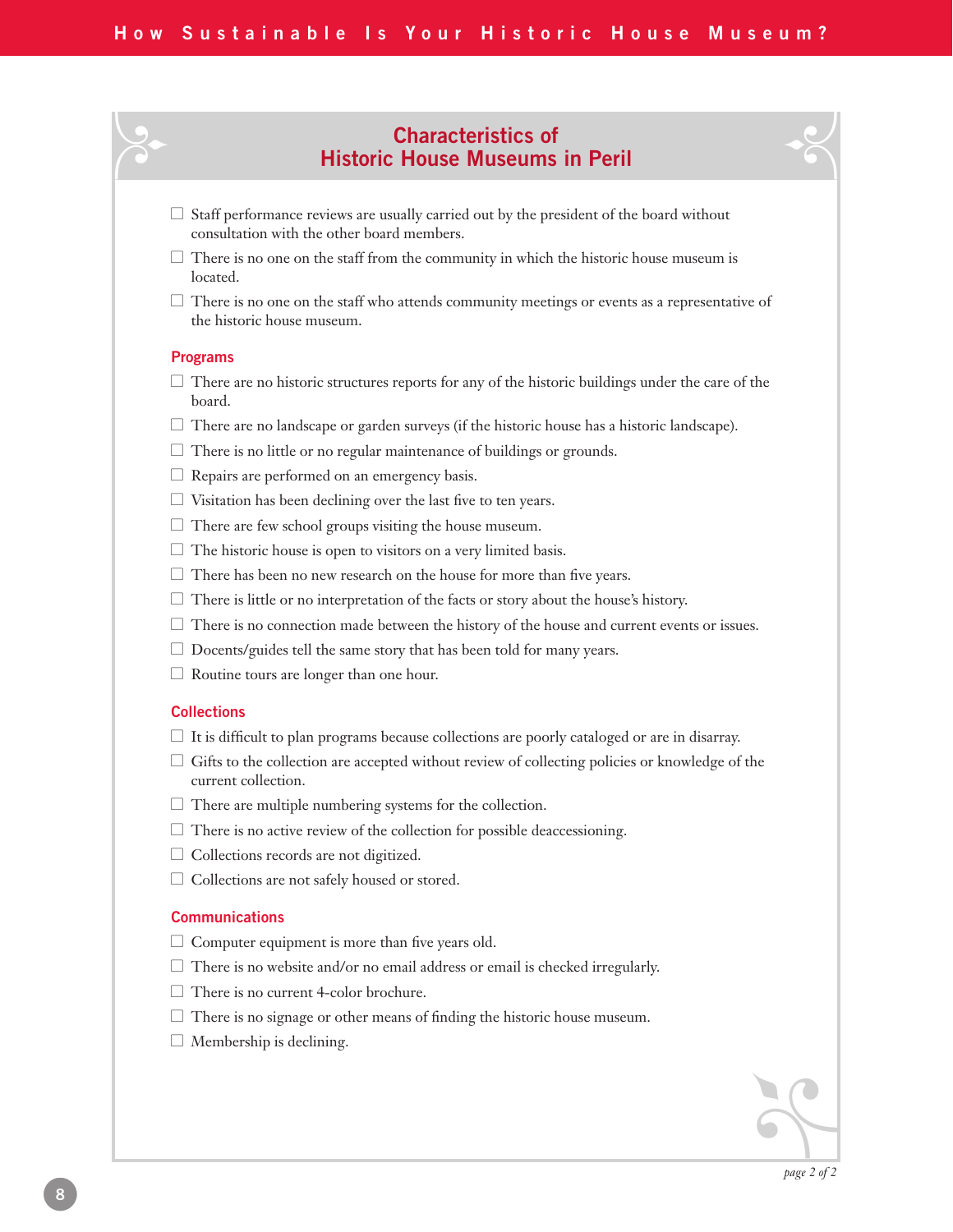# **Characteristics of Historic House Museums in Peril**<br> **Historic House Museums in Peril**

- $\Box$  Staff performance reviews are usually carried out by the president of the board without consultation with the other board members.
- $\Box$  There is no one on the staff from the community in which the historic house museum is located.
- $\Box$  There is no one on the staff who attends community meetings or events as a representative of the historic house museum.

#### **Programs**

- $\Box$  There are no historic structures reports for any of the historic buildings under the care of the board.
- $\Box$  There are no landscape or garden surveys (if the historic house has a historic landscape).
- $\Box$  There is no little or no regular maintenance of buildings or grounds.
- $\Box$  Repairs are performed on an emergency basis.
- $\Box$  Visitation has been declining over the last five to ten years.
- $\Box$  There are few school groups visiting the house museum.
- $\Box$  The historic house is open to visitors on a very limited basis.
- $\Box$  There has been no new research on the house for more than five years.
- $\Box$  There is little or no interpretation of the facts or story about the house's history.
- $\Box$  There is no connection made between the history of the house and current events or issues.
- $\Box$  Docents/guides tell the same story that has been told for many years.
- $\Box$  Routine tours are longer than one hour.

#### **Collections**

- $\Box$  It is difficult to plan programs because collections are poorly cataloged or are in disarray.
- $\Box$  Gifts to the collection are accepted without review of collecting policies or knowledge of the current collection.
- $\Box$  There are multiple numbering systems for the collection.
- $\Box$  There is no active review of the collection for possible deaccessioning.
- $\Box$  Collections records are not digitized.
- $\Box$  Collections are not safely housed or stored.

#### **Communications**

- $\Box$  Computer equipment is more than five years old.
- $\Box$  There is no website and/or no email address or email is checked irregularly.
- $\Box$  There is no current 4-color brochure.
- $\Box$  There is no signage or other means of finding the historic house museum.
- $\Box$  Membership is declining.

A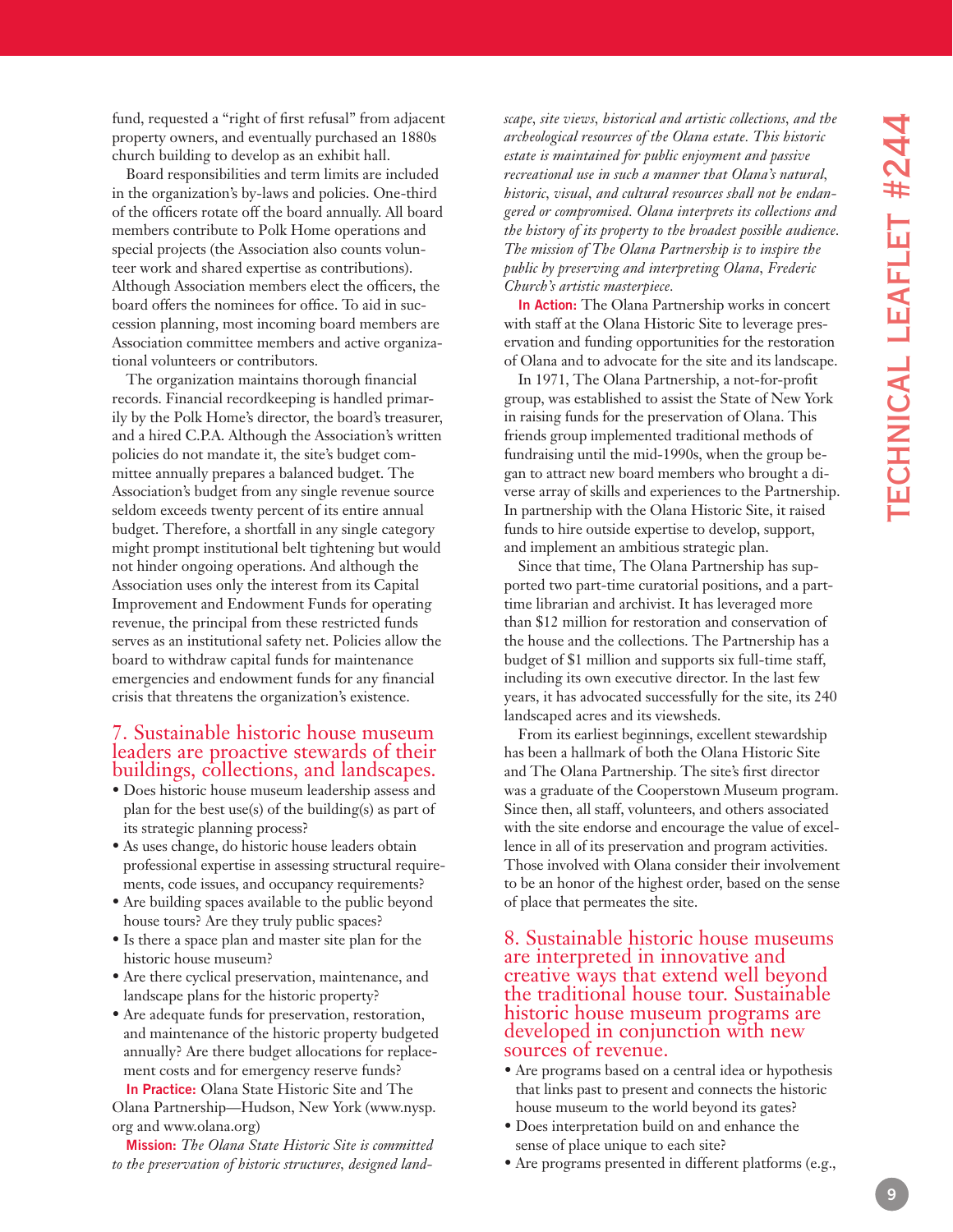fund, requested a "right of first refusal" from adjacent property owners, and eventually purchased an 1880s church building to develop as an exhibit hall.

Board responsibilities and term limits are included in the organization's by-laws and policies. One-third of the officers rotate off the board annually. All board members contribute to Polk Home operations and special projects (the Association also counts volun teer work and shared expertise as contributions). Although Association members elect the officers, the board offers the nominees for office. To aid in suc cession planning, most incoming board members are Association committee members and active organiza tional volunteers or contributors.

The organization maintains thorough financial records. Financial recordkeeping is handled primar ily by the Polk Home's director, the board's treasurer, and a hired C.P.A. Although the Association's written policies do not mandate it, the site's budget com mittee annually prepares a balanced budget. The Association's budget from any single revenue source seldom exceeds twenty percent of its entire annual budget. Therefore, a shortfall in any single category might prompt institutional belt tightening but would not hinder ongoing operations. And although the Association uses only the interest from its Capital Improvement and Endowment Funds for operating revenue, the principal from these restricted funds serves as an institutional safety net. Policies allow the board to withdraw capital funds for maintenance emergencies and endowment funds for any financial crisis that threatens the organization's existence.

# 7. Sustainable historic house museum leaders are proactive stewards of their buildings, collections, and landscapes.

- Does historic house museum leadership assess and plan for the best use(s) of the building(s) as part of its strategic planning process?
- As uses change, do historic house leaders obtain professional expertise in assessing structural require ments, code issues, and occupancy requirements?
- Are building spaces available to the public beyond house tours? Are they truly public spaces?
- Is there a space plan and master site plan for the historic house museum?
- Are there cyclical preservation, maintenance, and landscape plans for the historic property?
- Are adequate funds for preservation, restoration, and maintenance of the historic property budgeted annually? Are there budget allocations for replace ment costs and for emergency reserve funds? **In Practice:** Olana State Historic Site and The

Olana Partnership—Hudson, New York (www.nysp. or g and www.olana.or g)

**Mission:** *The Olana State Historic Site is committed to the preservation of historic structures, designed land -*

*scape, site views, historical and artistic collections, and the archeological resources of the Olana estate. This historic estate is maintained for public enjoyment and passive recreational use in such a manner that Olana's natural, historic, visual, and cultural resources shall not be endan gered or compromised. Olana interprets its collections and the history of its property to the broadest possible audience. The mission of The Olana Partnership is to inspire the public by preserving and interpreting Olana, Frederic Church's artistic masterpiece.*

**In Action:** The Olana Partnership works in concert with staff at the Olana Historic Site to leverage pres ervation and funding opportunities for the restoration of Olana and to advocate for the site and its landscape.

In 1971, The Olana Partnership, a not-for-profit group, was established to assist the State of New York in raising funds for the preservation of Olana. This friends group implemented traditional methods of fundraising until the mid-1990s, when the group be gan to attract new board members who brought a di verse array of skills and experiences to the Partnership. In partnership with the Olana Historic Site, it raised funds to hire outside expertise to develop, support, and implement an ambitious strategic plan.

Since that time, The Olana Partnership has sup ported two part-time curatorial positions, and a parttime librarian and archivist. It has leveraged more than \$12 million for restoration and conservation of the house and the collections. The Partnership has a budget of \$1 million and supports six full-time staff, including its own executive director. In the last few years, it has advocated successfully for the site, its 240 landscaped acres and its viewsheds.

From its earliest beginnings, excellent stewardship has been a hallmark of both the Olana Historic Site and The Olana Partnership. The site's first director was a graduate of the Cooperstown Museum program. Since then, all staff, volunteers, and others associated with the site endorse and encourage the value of excel lence in all of its preservation and program activities. Those involved with Olana consider their involvement to be an honor of the highest order, based on the sense of place that permeates the site.

## 8. Sustainable historic house museums are interpreted in innovative and creative ways that extend well beyond the traditional house tour. Sustainable historic house museum programs are developed in conjunction with new sources of revenue.

- Are programs based on a central idea or hypothesis that links past to present and connects the historic house museum to the world beyond its gates?
- Does interpretation build on and enhance the sense of place unique to each site?
- Are programs presented in different platforms (e.g.,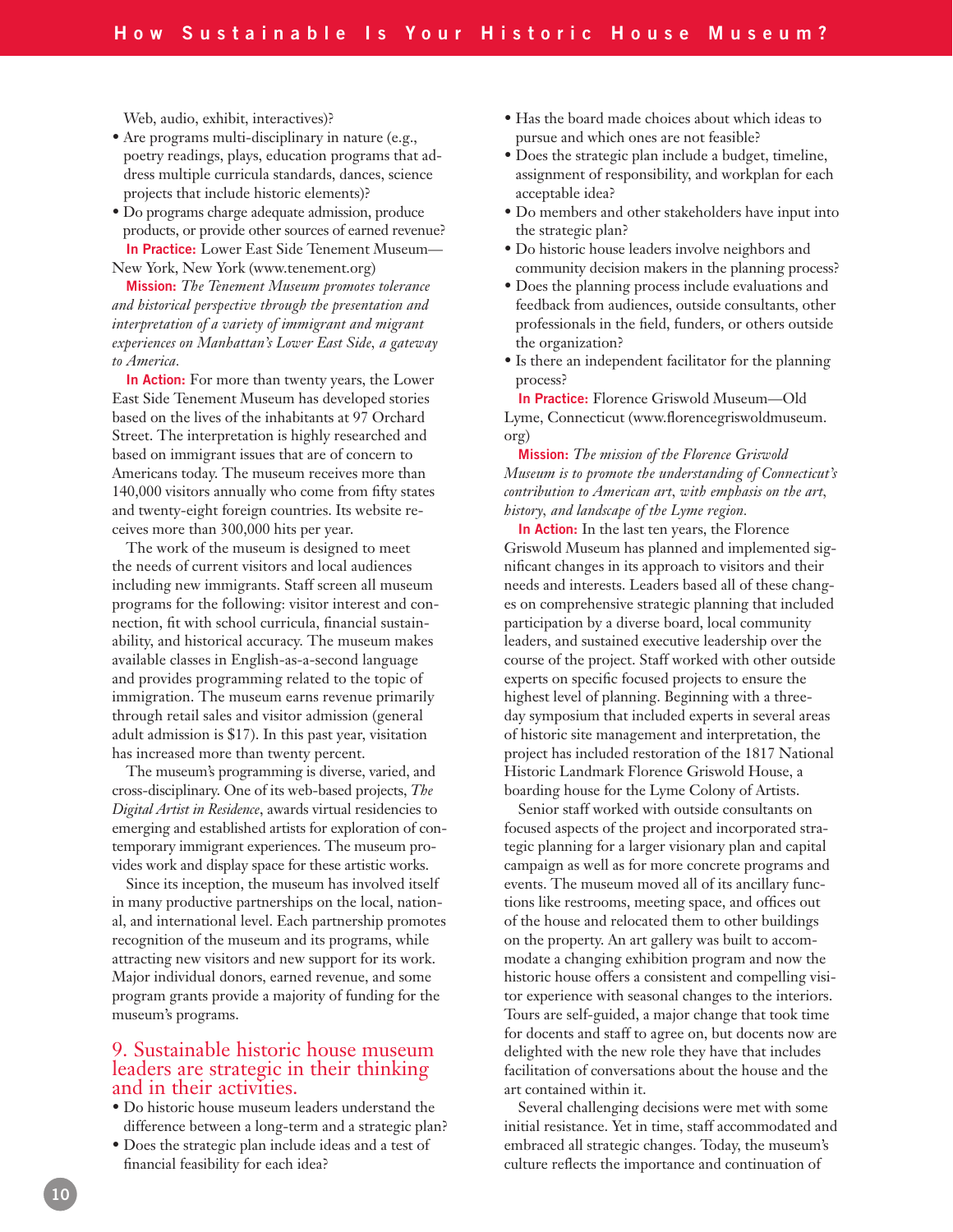Web, audio, exhibit, interactives)?

- Are programs multi-disciplinary in nature (e.g., poetry readings, plays, education programs that address multiple curricula standards, dances, science projects that include historic elements)?
- Do programs charge adequate admission, produce products, or provide other sources of earned revenue? **In Practice:** Lower East Side Tenement Museum— New York, New York (www.tenement.org)

**Mission:** *The Tenement Museum promotes tolerance and historical perspective through the presentation and interpretation of a variety of immigrant and migrant experiences on Manhattan's Lower East Side, a gateway to America.* 

**In Action:** For more than twenty years, the Lower East Side Tenement Museum has developed stories based on the lives of the inhabitants at 97 Orchard Street. The interpretation is highly researched and based on immigrant issues that are of concern to Americans today. The museum receives more than 140,000 visitors annually who come from fifty states and twenty-eight foreign countries. Its website receives more than 300,000 hits per year.

The work of the museum is designed to meet the needs of current visitors and local audiences including new immigrants. Staff screen all museum programs for the following: visitor interest and connection, fit with school curricula, financial sustainability, and historical accuracy. The museum makes available classes in English-as-a-second language and provides programming related to the topic of immigration. The museum earns revenue primarily through retail sales and visitor admission (general adult admission is \$17). In this past year, visitation has increased more than twenty percent.

The museum's programming is diverse, varied, and cross-disciplinary. One of its web-based projects, *The Digital Artist in Residence*, awards virtual residencies to emerging and established artists for exploration of contemporary immigrant experiences. The museum provides work and display space for these artistic works.

Since its inception, the museum has involved itself in many productive partnerships on the local, national, and international level. Each partnership promotes recognition of the museum and its programs, while attracting new visitors and new support for its work. Major individual donors, earned revenue, and some program grants provide a majority of funding for the museum's programs.

## 9. Sustainable historic house museum leaders are strategic in their thinking and in their activities.

- Do historic house museum leaders understand the difference between a long-term and a strategic plan?
- Does the strategic plan include ideas and a test of financial feasibility for each idea?
- Has the board made choices about which ideas to pursue and which ones are not feasible?
- Does the strategic plan include a budget, timeline, assignment of responsibility, and workplan for each acceptable idea?
- Do members and other stakeholders have input into the strategic plan?
- Do historic house leaders involve neighbors and community decision makers in the planning process?
- Does the planning process include evaluations and feedback from audiences, outside consultants, other professionals in the field, funders, or others outside the organization?
- Is there an independent facilitator for the planning process?

**In Practice:** Florence Griswold Museum—Old Lyme, Connecticut (www.florencegriswoldmuseum. org)

**Mission:** *The mission of the Florence Griswold Museum is to promote the understanding of Connecticut's contribution to American art, with emphasis on the art, history, and landscape of the Lyme region.*

**In Action:** In the last ten years, the Florence Griswold Museum has planned and implemented significant changes in its approach to visitors and their needs and interests. Leaders based all of these changes on comprehensive strategic planning that included participation by a diverse board, local community leaders, and sustained executive leadership over the course of the project. Staff worked with other outside experts on specific focused projects to ensure the highest level of planning. Beginning with a threeday symposium that included experts in several areas of historic site management and interpretation, the project has included restoration of the 1817 National Historic Landmark Florence Griswold House, a boarding house for the Lyme Colony of Artists.

Senior staff worked with outside consultants on focused aspects of the project and incorporated strategic planning for a larger visionary plan and capital campaign as well as for more concrete programs and events. The museum moved all of its ancillary functions like restrooms, meeting space, and offices out of the house and relocated them to other buildings on the property. An art gallery was built to accommodate a changing exhibition program and now the historic house offers a consistent and compelling visitor experience with seasonal changes to the interiors. Tours are self-guided, a major change that took time for docents and staff to agree on, but docents now are delighted with the new role they have that includes facilitation of conversations about the house and the art contained within it.

Several challenging decisions were met with some initial resistance. Yet in time, staff accommodated and embraced all strategic changes. Today, the museum's culture reflects the importance and continuation of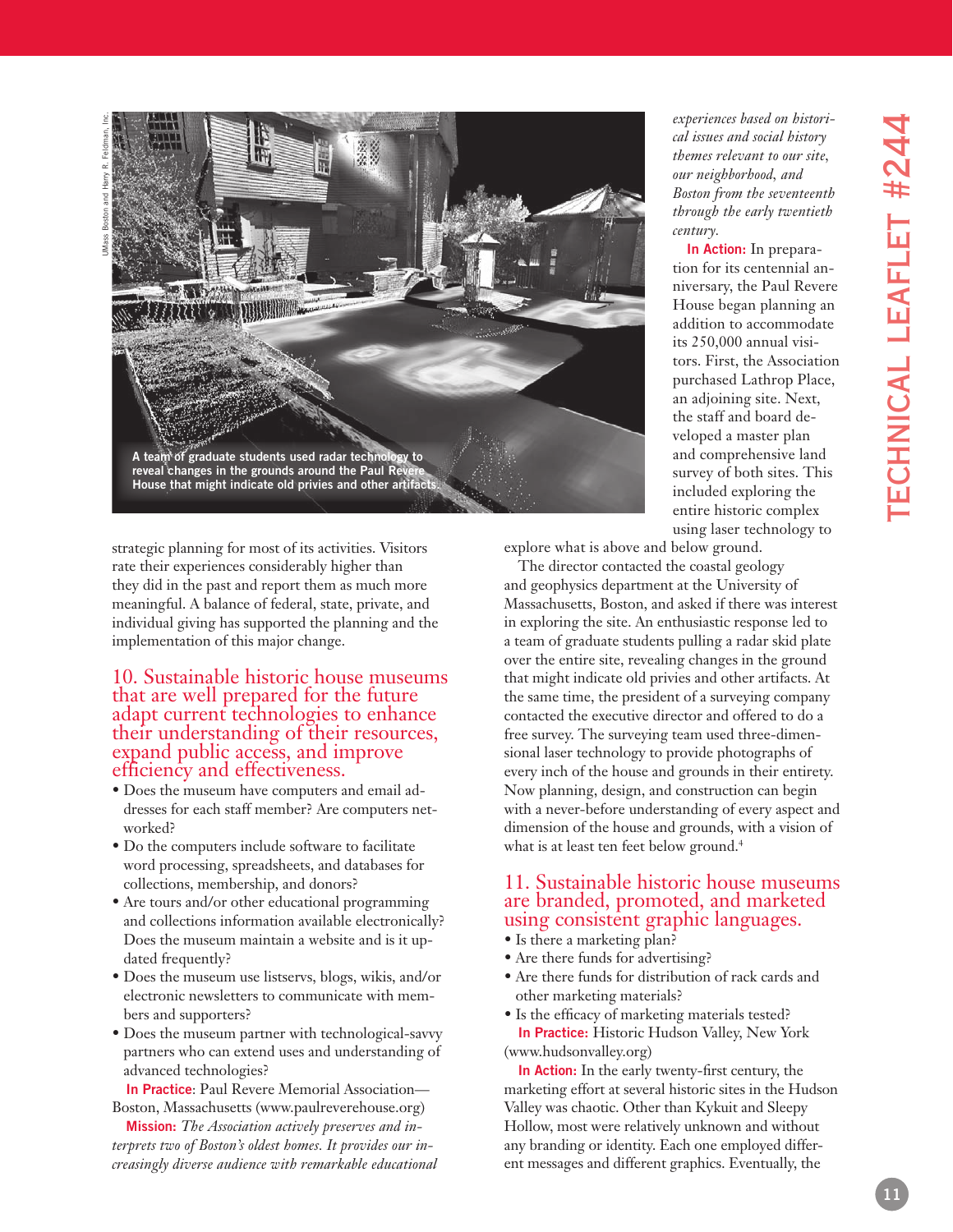

strategic planning for most of its activities. Visitors rate their experiences considerably higher than they did in the past and report them as much more meaningful. A balance of federal, state, private, and individual giving has supported the planning and the implementation of this major change.

## 10. Sustainable historic house museums that are well prepared for the future adapt current technologies to enhance their understanding of their resources, expand public access, and improve efficiency and effectiveness.

- Does the museum have computers and email ad dresses for each staff member? Are computers net worked?
- Do the computers include software to facilitate word processing, spreadsheets, and databases for collections, membership, and donors?
- Are tours and/or other educational programming and collections information available electronically? Does the museum maintain a website and is it up dated frequently?
- Does the museum use listservs, blogs, wikis, and/or electronic newsletters to communicate with mem bers and supporters?
- Does the museum partner with technological-savvy partners who can extend uses and understanding of advanced technologies?

**In Practice**: Paul Revere Memorial Association— Boston, Massachusetts (www.paulreverehouse.or g)

**Mission:** *The Association actively preserves and in terprets two of Boston's oldest homes. It provides our in creasingly diverse audience with remarkable educational* 

*experiences based on histori cal issues and social history themes relevant to our site, our neighborhood, and Boston from the seventeenth through the early twentieth century.* 

**In Action:** In prepara tion for its centennial an niversary, the Paul Revere House began planning an addition to accommodate its 250,000 annual visi tors. First, the Association purchased Lathrop Place, an adjoining site. Next, the staff and board de veloped a master plan and comprehensive land survey of both sites. This included exploring the entire historic complex using laser technology to

explore what is above and below ground.

The director contacted the coastal geology and geophysics department at the University of Massachusetts, Boston, and asked if there was interest in exploring the site. An enthusiastic response led to a team of graduate students pulling a radar skid plate over the entire site, revealing changes in the ground that might indicate old privies and other artifacts. At the same time, the president of a surveying company contacted the executive director and offered to do a free survey. The surveying team used three-dimen sional laser technology to provide photographs of every inch of the house and grounds in their entirety. Now planning, design, and construction can begin with a never-before understanding of every aspect and dimension of the house and grounds, with a vision of what is at least ten feet below ground. 4

# 11. Sustainable historic house museums are branded, promoted, and marketed using consistent graphic languages.

- Is there a marketing plan?
- Are there funds for advertising?
- Are there funds for distribution of rack cards and other marketing materials?
- Is the efficacy of marketing materials tested? **In Practice:** Historic Hudson Valley, New York (www.hudsonvalley.or g)

**In Action:** In the early twenty-first century, the marketing effort at several historic sites in the Hudson Valley was chaotic. Other than Kykuit and Sleepy Hollow, most were relatively unknown and without any branding or identity. Each one employed differ ent messages and different graphics. Eventually, the